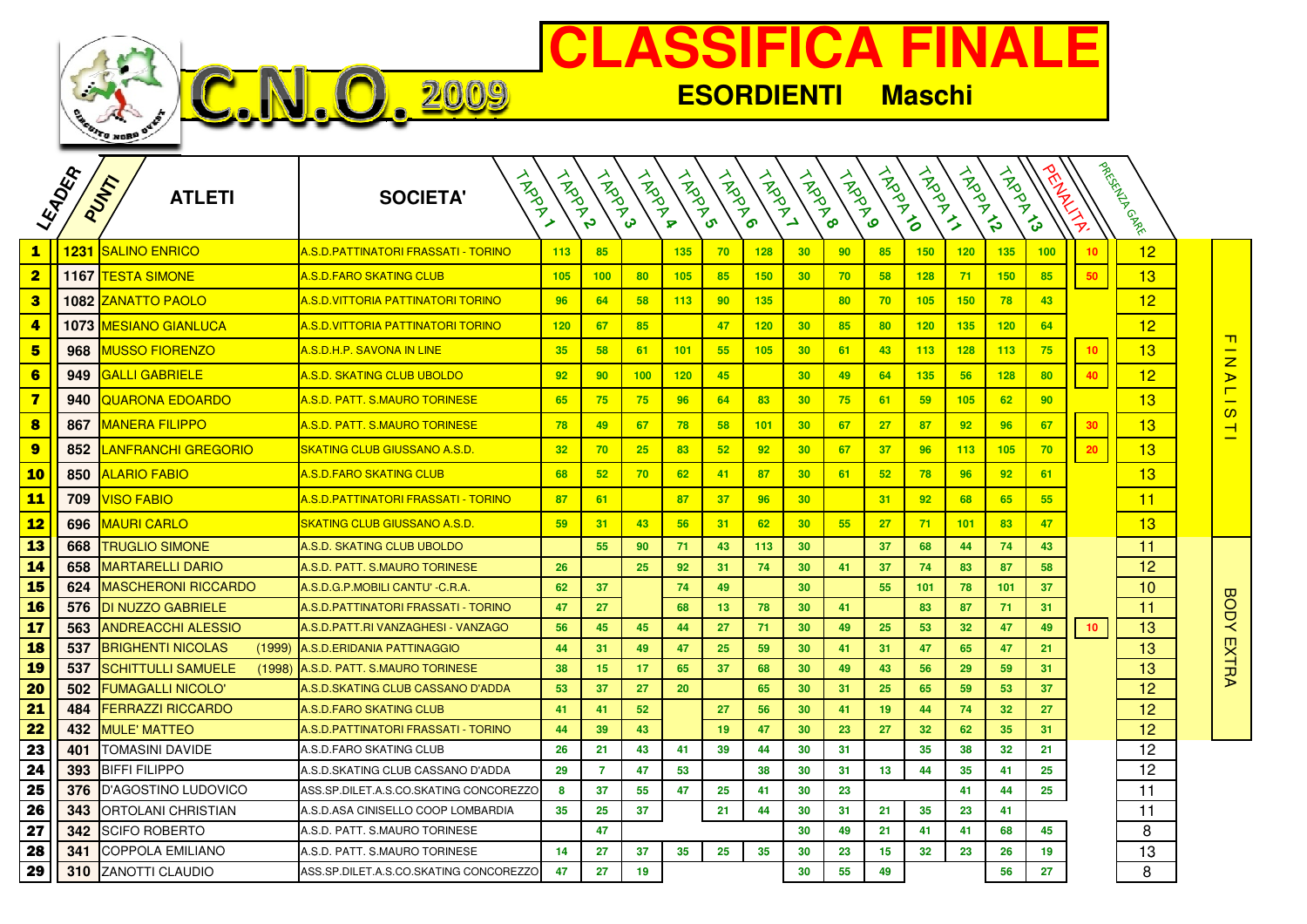

## **CLASSIFICA FINALE**

**ESORDIENTI Maschi**

|                         | LEADER | PUMP<br><b>ATLETI</b>               | LAPON<br><b>SOCIETA'</b>                    | <b>HARANT</b>   | <b>ARDAR</b>    | <b>ANDRAN</b> | <b>HARD</b> | <b>HARD</b> | <b>HARRY</b> | <b>HARRY</b> | <b>HARD</b> | TROTTO | A RADAY    | TROOP TO | <b>ARDAN</b> | FR A | $\sum_{\mathcal{P}}$ | I PARTYCRAN CARE |                                               |
|-------------------------|--------|-------------------------------------|---------------------------------------------|-----------------|-----------------|---------------|-------------|-------------|--------------|--------------|-------------|--------|------------|----------|--------------|------|----------------------|------------------|-----------------------------------------------|
| $\mathbf{1}$            | 1231   | <b>SALINO ENRICO</b>                | <u> A.S.D.PATTINATORI FRASSATI - TORINO</u> | 113             | 85              |               | 135         | 70          | 128          | 30           | 90          | 85     | 150        | 120      | 135          | 100  | 10                   | 12               |                                               |
| $\overline{\mathbf{2}}$ | 1167   | <u>TESTA SIMONE</u>                 | <u> A.S.D.FARO SKATING CLUB</u>             | 105             | 100             | 80            | 105         | 85          | 150          | 30           | 70          | 58     | <b>128</b> | 71       | <b>150</b>   | 85   | 50                   | 13               |                                               |
| $\bf{3}$                | 1082   | <u>ZANATTO PAOLO</u>                | <u>A.S.D.VITTORIA PATTINATORI TORINO</u>    | 96              | 64              | 58            | 113         | 90          | 135          |              | 80          | 70     | 105        | 150      | 78           | 43   |                      | 12               |                                               |
| $\overline{4}$          | 1073   | <u>  AESIANO GIANLUCA</u>           | <u>A.S.D.VITTORIA PATTINATORI TORINO</u>    | 120             | 67              | 85            |             | 47          | 120          | 30           | 85          | 80     | 120        | 135      | 120          | 64   |                      | 12               |                                               |
| 5                       | 968    | <u>MUSSO FIORENZO</u>               | A.S.D.H.P. SAVONA IN LINE                   | 35              | 58              | 61            | 101         | 55          | 105          | 30           | 61          | 43     | 113        | 128      | 113          | 75   | 10 <sub>1</sub>      | 13               | <u> т</u><br>$\overline{z}$                   |
| 6                       | 949    | <b>GALLI GABRIELE</b>               | A.S.D. SKATING CLUB UBOLDO                  | 92              | 90 <sub>o</sub> | 100           | 120         | 45          |              | 30           | 49          | 64     | 135        | 56       | 128          | 80   | 40                   | 12               | $\triangleright$                              |
| $\overline{\mathbf{z}}$ | 940    | QUARONA EDOARDO                     | A.S.D. PATT. S.MAURO TORINESE               | 65              | 75              | 75            | 96          | 64          | 83           | 30           | 75          | 61     | 59         | 105      | 62           | 90   |                      | 13               | Γ                                             |
| 8                       | 867    | <u>MANERA FILIPPO</u>               | A.S.D. PATT. S.MAURO TORINESE               | 78              | 49              | 67            | 78          | 58          | 101          | 30           | 67          | 27     | 87         | 92       | 96           | 67   | 30 <sub>2</sub>      | 13               | $\mathbf{\Omega}$<br>$\overline{\phantom{0}}$ |
| 9                       | 852    | LANFRANCHI GREGORIO                 | <b>SKATING CLUB GIUSSANO A.S.D.</b>         | 32 <sub>2</sub> | 70              | 25            | 83          | 52          | 92           | 30           | 67          | 37     | 96         | 113      | 105          | 70   | 20                   | 13               |                                               |
| 10                      | 850    | ALARIO FABIO                        | <b>A.S.D.FARO SKATING CLUB</b>              | 68              | 52              | 70            | 62          | 41          | 87           | 30           | 61          | 52     | 78         | 96       | 92           | 61   |                      | 13               |                                               |
| <b>11</b>               | 709    | <b>VISO FABIO</b>                   | A.S.D.PATTINATORI FRASSATI - TORINO         | 87              | 61              |               | 87          | 37          | 96           | 30           |             | 31     | 92         | 68       | 65           | 55   |                      | 11               |                                               |
| <b>12</b>               | 696    | MAURI CARLO                         | SKATING CLUB GIUSSANO A.S.D.                | 59              | 31              | 43            | 56          | 31          | 62           | 30           | 55          | 27     | 71         | 101      | 83           | 47   |                      | 13               |                                               |
| 13                      | 668    | <b>TRUGLIO SIMONE</b>               | A.S.D. SKATING CLUB UBOLDO                  |                 | 55 <sub>5</sub> | 90            | 71          | 43          | 113          | 30           |             | 37     | 68         | 44       | 74           | 43   |                      | 11               |                                               |
| <b>14</b>               | 658    | MARTARELLI DARIO                    | A.S.D. PATT. S.MAURO TORINESE               | 26              |                 | 25            | 92          | 31          | 74           | 30           | 41          | 37     | 74         | 83       | 87           | 58   |                      | 12               |                                               |
| <b>15</b>               | 624    | MASCHERONI RICCARDO                 | A.S.D.G.P.MOBILI CANTU' - C.R.A             | 62              | 37              |               | 74          | 49          |              | 30           |             | 55     | 101        | 78       | 101          | 37   |                      | 10               |                                               |
| <b>16</b>               | 576    | <b>DI NUZZO GABRIELE</b>            | A.S.D. PATTINATORI FRASSATI - TORINO        | 47              | 27              |               | 68          | 13          | 78           | 30           | 41          |        | 83         | 87       | 71           | 31   |                      | 11               | <b>BODY</b>                                   |
| 17                      | 563    | <b>ANDREACCHI ALESSIO</b>           | A.S.D. PATT.RI VANZAGHESI - VANZAGO         | 56              | 45              | 45            | 44          | 27          | 71           | 30           | 49          | 25     | 53         | 32       | 47           | 49   | 10 <sub>1</sub>      | 13               |                                               |
| <b>18</b>               | 537    | <b>BRIGHENTI NICOLAS</b><br>(1999)  | A.S.D.ERIDANIA PATTINAGGIO                  | 44              | 31              | 49            | 47          | 25          | 59           | 30           | 41          | 31     | 47         | 65       | 47           | 21   |                      | 13               | <b>EXTRA</b>                                  |
| <b>19</b>               | 537    | <b>SCHITTULLI SAMUELE</b><br>(1998) | A.S.D. PATT. S.MAURO TORINESE               | 38              | 15              | 17            | 65          | 37          | 68           | 30           | 49          | 43     | 56         | 29       | 59           | 31   |                      | 13               |                                               |
| 20                      | 502    | <b>FUMAGALLI NICOLO'</b>            | A.S.D.SKATING CLUB CASSANO D'ADDA           | 53              | 37              | 27            | 20          |             | 65           | 30           | 31          | 25     | 65         | 59       | 53           | 37   |                      | 12               |                                               |
| 21                      | 484    | <b>FERRAZZI RICCARDO</b>            | A.S.D.FARO SKATING CLUB                     | 41              | 41              | 52            |             | 27          | 56           | 30           | 41          | 19     | 44         | 74       | 32           | 27   |                      | 12               |                                               |
| 22                      | 432    | MULE' MATTEO                        | A.S.D. PATTINATORI FRASSATI - TORINO        | 44              | 39              | 43            |             | 19          | 47           | 30           | 23          | 27     | 32         | 62       | 35           | 31   |                      | 12               |                                               |
| 23                      | 401    | <b>TOMASINI DAVIDE</b>              | A.S.D.FARO SKATING CLUB                     | 26              | 21              | 43            | 41          | 39          | 44           | 30           | 31          |        | 35         | 38       | 32           | 21   |                      | 12               |                                               |
| 24                      | 393    | <b>BIFFI FILIPPO</b>                | A.S.D.SKATING CLUB CASSANO D'ADDA           | 29              | $\overline{7}$  | 47            | 53          |             | 38           | 30           | 31          | 13     | 44         | 35       | 41           | 25   |                      | 12               |                                               |
| 25                      | 376    | D'AGOSTINO LUDOVICO                 | ASS.SP.DILET.A.S.CO.SKATING CONCOREZZO      | 8               | 37              | 55            | 47          | 25          | 41           | 30           | 23          |        |            | 41       | 44           | 25   |                      | 11               |                                               |
| 26                      | 343    | ORTOLANI CHRISTIAN                  | A.S.D.ASA CINISELLO COOP LOMBARDIA          | 35              | 25              | 37            |             | 21          | 44           | 30           | 31          | 21     | 35         | 23       | 41           |      |                      | 11               |                                               |
| 27                      | 342    | SCIFO ROBERTO                       | A.S.D. PATT. S.MAURO TORINESE               |                 | 47              |               |             |             |              | 30           | 49          | 21     | 41         | 41       | 68           | 45   |                      | 8                |                                               |
| 28                      | 341    | COPPOLA EMILIANO                    | A.S.D. PATT. S.MAURO TORINESE               | 14              | 27              | 37            | 35          | 25          | 35           | 30           | 23          | 15     | 32         | 23       | 26           | 19   |                      | 13               |                                               |
| 29                      | 310    | <b>ZANOTTI CLAUDIO</b>              | ASS.SP.DILET.A.S.CO.SKATING CONCOREZZO      | 47              | 27              | 19            |             |             |              | 30           | 55          | 49     |            |          | 56           | 27   |                      | 8                |                                               |

0.2009

NJ.